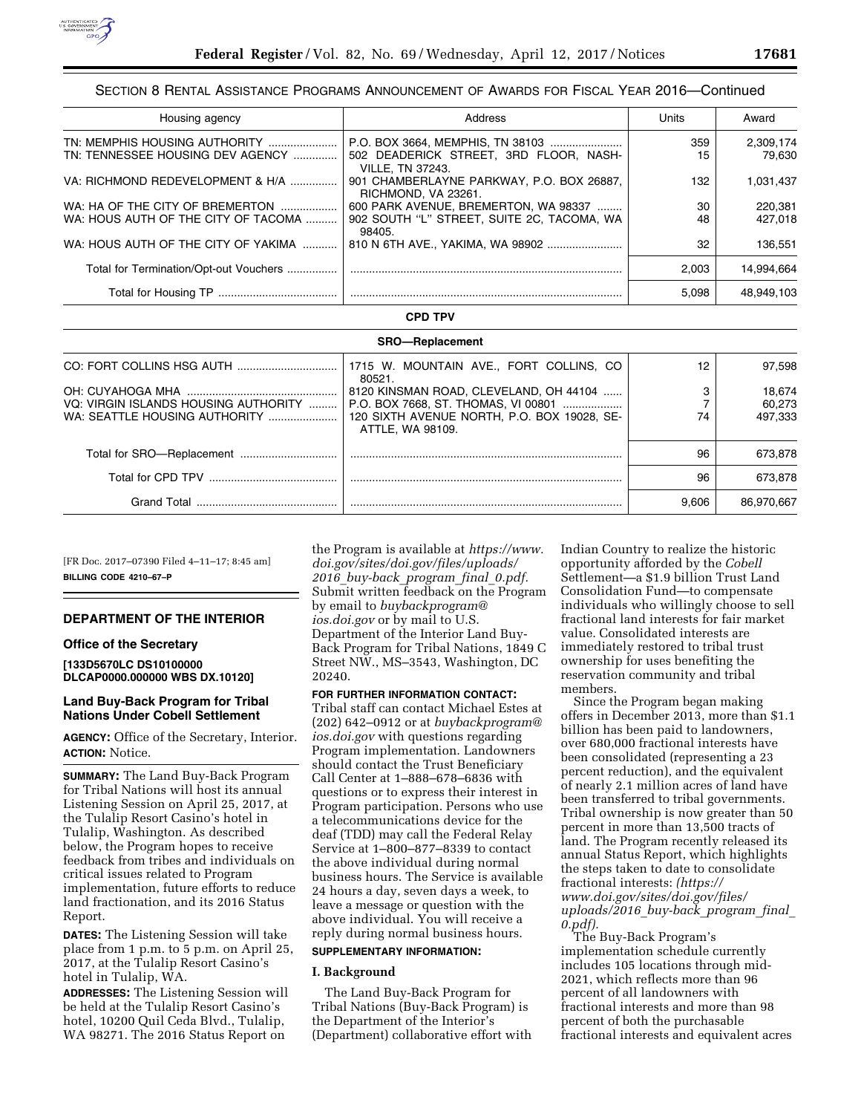

# SECTION 8 RENTAL ASSISTANCE PROGRAMS ANNOUNCEMENT OF AWARDS FOR FISCAL YEAR 2016—Continued

| Housing agency                         | Address                                                           | Units | Award      |
|----------------------------------------|-------------------------------------------------------------------|-------|------------|
| TN: MEMPHIS HOUSING AUTHORITY          |                                                                   | 359   | 2,309,174  |
| TN: TENNESSEE HOUSING DEV AGENCY       | 502 DEADERICK STREET, 3RD FLOOR, NASH-<br><b>VILLE, TN 37243.</b> | 15    | 79.630     |
| VA: RICHMOND REDEVELOPMENT & H/A       | 901 CHAMBERLAYNE PARKWAY, P.O. BOX 26887,<br>RICHMOND, VA 23261.  | 132   | 1,031,437  |
| WA: HA OF THE CITY OF BREMERTON        | 600 PARK AVENUE, BREMERTON, WA 98337                              | 30    | 220,381    |
| WA: HOUS AUTH OF THE CITY OF TACOMA    | 902 SOUTH "L" STREET, SUITE 2C, TACOMA, WA<br>98405.              | 48    | 427.018    |
| WA: HOUS AUTH OF THE CITY OF YAKIMA    |                                                                   | 32    | 136.551    |
| Total for Termination/Opt-out Vouchers |                                                                   | 2.003 | 14.994.664 |
|                                        |                                                                   | 5.098 | 48.949.103 |

### **CPD TPV**

| <b>SRO-Replacement</b>               |                                                                 |       |            |  |
|--------------------------------------|-----------------------------------------------------------------|-------|------------|--|
|                                      | 1715 W. MOUNTAIN AVE., FORT COLLINS, CO.<br>80521.              | 12    | 97.598     |  |
|                                      | 8120 KINSMAN ROAD, CLEVELAND, OH 44104                          |       | 18.674     |  |
| VQ: VIRGIN ISLANDS HOUSING AUTHORITY | P.O. BOX 7668, ST. THOMAS, VI 00801                             |       | 60.273     |  |
| WA: SEATTLE HOUSING AUTHORITY        | 120 SIXTH AVENUE NORTH, P.O. BOX 19028, SE-<br>ATTLE, WA 98109. | 74    | 497.333    |  |
|                                      |                                                                 | 96    | 673,878    |  |
|                                      |                                                                 | 96    | 673.878    |  |
| Grand Total                          |                                                                 | 9.606 | 86.970.667 |  |

[FR Doc. 2017–07390 Filed 4–11–17; 8:45 am] **BILLING CODE 4210–67–P** 

#### **DEPARTMENT OF THE INTERIOR**

#### **Office of the Secretary**

**[133D5670LC DS10100000 DLCAP0000.000000 WBS DX.10120]** 

# **Land Buy-Back Program for Tribal Nations Under Cobell Settlement**

**AGENCY:** Office of the Secretary, Interior. **ACTION:** Notice.

**SUMMARY:** The Land Buy-Back Program for Tribal Nations will host its annual Listening Session on April 25, 2017, at the Tulalip Resort Casino's hotel in Tulalip, Washington. As described below, the Program hopes to receive feedback from tribes and individuals on critical issues related to Program implementation, future efforts to reduce land fractionation, and its 2016 Status Report.

**DATES:** The Listening Session will take place from 1 p.m. to 5 p.m. on April 25, 2017, at the Tulalip Resort Casino's hotel in Tulalip, WA.

**ADDRESSES:** The Listening Session will be held at the Tulalip Resort Casino's hotel, 10200 Quil Ceda Blvd., Tulalip, WA 98271. The 2016 Status Report on

the Program is available at *[https://www.](https://www.doi.gov/sites/doi.gov/files/uploads/2016_buy-back_program_final_0.pdf) [doi.gov/sites/doi.gov/files/uploads/](https://www.doi.gov/sites/doi.gov/files/uploads/2016_buy-back_program_final_0.pdf) 2016*\_*[buy-back](https://www.doi.gov/sites/doi.gov/files/uploads/2016_buy-back_program_final_0.pdf)*\_*program*\_*final*\_*0.pdf.*  Submit written feedback on the Program by email to *[buybackprogram@](mailto:buybackprogram@ios.doi.gov) [ios.doi.gov](mailto:buybackprogram@ios.doi.gov)* or by mail to U.S. Department of the Interior Land Buy-Back Program for Tribal Nations, 1849 C Street NW., MS–3543, Washington, DC 20240.

**FOR FURTHER INFORMATION CONTACT:**  Tribal staff can contact Michael Estes at (202) 642–0912 or at *[buybackprogram@](mailto:buybackprogram@ios.doi.gov) [ios.doi.gov](mailto:buybackprogram@ios.doi.gov)* with questions regarding Program implementation. Landowners should contact the Trust Beneficiary Call Center at 1–888–678–6836 with questions or to express their interest in Program participation. Persons who use a telecommunications device for the deaf (TDD) may call the Federal Relay Service at 1–800–877–8339 to contact the above individual during normal business hours. The Service is available 24 hours a day, seven days a week, to leave a message or question with the above individual. You will receive a reply during normal business hours.

# **SUPPLEMENTARY INFORMATION:**

#### **I. Background**

The Land Buy-Back Program for Tribal Nations (Buy-Back Program) is the Department of the Interior's (Department) collaborative effort with

Indian Country to realize the historic opportunity afforded by the *Cobell*  Settlement—a \$1.9 billion Trust Land Consolidation Fund—to compensate individuals who willingly choose to sell fractional land interests for fair market value. Consolidated interests are immediately restored to tribal trust ownership for uses benefiting the reservation community and tribal members.

Since the Program began making offers in December 2013, more than \$1.1 billion has been paid to landowners, over 680,000 fractional interests have been consolidated (representing a 23 percent reduction), and the equivalent of nearly 2.1 million acres of land have been transferred to tribal governments. Tribal ownership is now greater than 50 percent in more than 13,500 tracts of land. The Program recently released its annual Status Report, which highlights the steps taken to date to consolidate fractional interests: *([https://](https://www.doi.gov/sites/doi.gov/files/uploads/2016_buy-back_program_final_0.pdf) [www.doi.gov/sites/doi.gov/files/](https://www.doi.gov/sites/doi.gov/files/uploads/2016_buy-back_program_final_0.pdf)  [uploads/2016](https://www.doi.gov/sites/doi.gov/files/uploads/2016_buy-back_program_final_0.pdf)*\_*buy-back*\_*program*\_*final*\_ *[0.pdf\).](https://www.doi.gov/sites/doi.gov/files/uploads/2016_buy-back_program_final_0.pdf)* 

The Buy-Back Program's implementation schedule currently includes 105 locations through mid-2021, which reflects more than 96 percent of all landowners with fractional interests and more than 98 percent of both the purchasable fractional interests and equivalent acres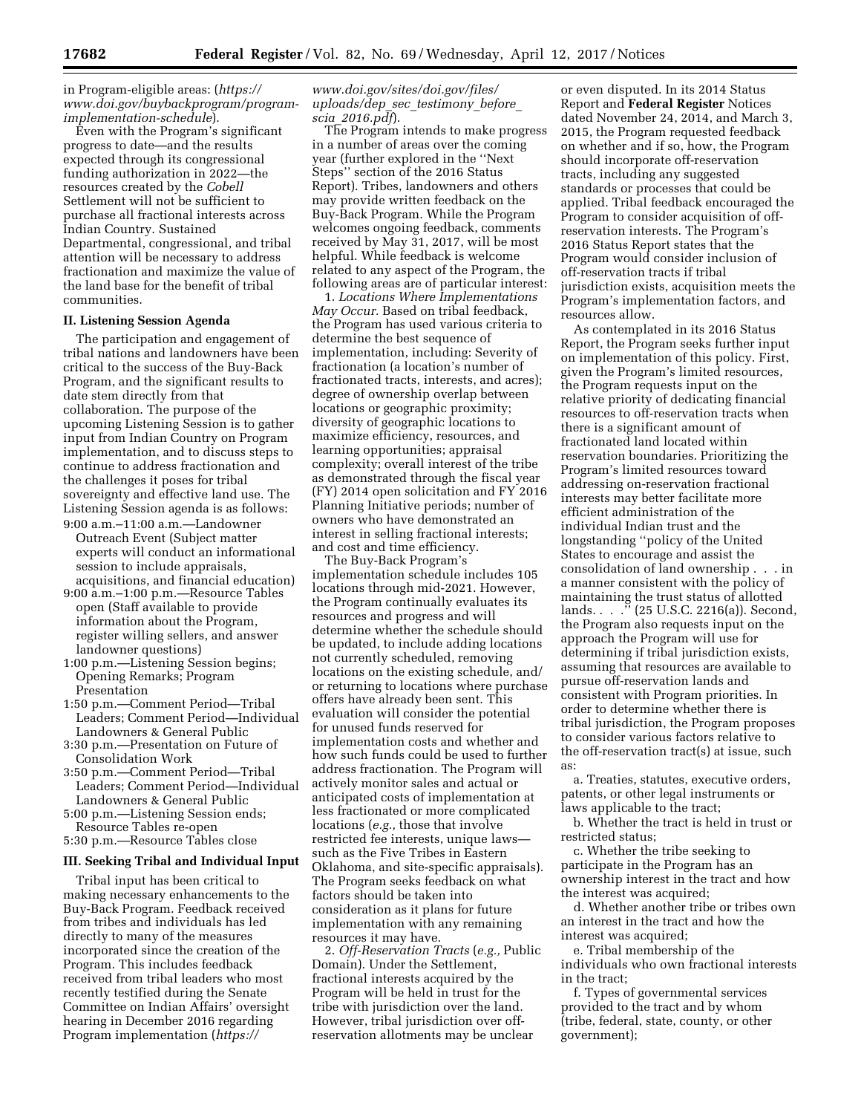in Program-eligible areas: (*[https://](https://www.doi.gov/buybackprogram/program-implementation-schedule) [www.doi.gov/buybackprogram/program](https://www.doi.gov/buybackprogram/program-implementation-schedule)[implementation-schedule](https://www.doi.gov/buybackprogram/program-implementation-schedule)*).

Even with the Program's significant progress to date—and the results expected through its congressional funding authorization in 2022—the resources created by the *Cobell*  Settlement will not be sufficient to purchase all fractional interests across Indian Country. Sustained Departmental, congressional, and tribal attention will be necessary to address fractionation and maximize the value of the land base for the benefit of tribal communities.

### **II. Listening Session Agenda**

The participation and engagement of tribal nations and landowners have been critical to the success of the Buy-Back Program, and the significant results to date stem directly from that collaboration. The purpose of the upcoming Listening Session is to gather input from Indian Country on Program implementation, and to discuss steps to continue to address fractionation and the challenges it poses for tribal sovereignty and effective land use. The Listening Session agenda is as follows: 9:00 a.m.–11:00 a.m.—Landowner

- Outreach Event (Subject matter experts will conduct an informational session to include appraisals, acquisitions, and financial education)
- 9:00 a.m.–1:00 p.m.—Resource Tables open (Staff available to provide information about the Program, register willing sellers, and answer landowner questions)
- 1:00 p.m.—Listening Session begins; Opening Remarks; Program Presentation
- 1:50 p.m.—Comment Period—Tribal Leaders; Comment Period—Individual Landowners & General Public
- 3:30 p.m.—Presentation on Future of Consolidation Work
- 3:50 p.m.—Comment Period—Tribal Leaders; Comment Period—Individual Landowners & General Public
- 5:00 p.m.—Listening Session ends; Resource Tables re-open
- 5:30 p.m.—Resource Tables close

# **III. Seeking Tribal and Individual Input**

Tribal input has been critical to making necessary enhancements to the Buy-Back Program. Feedback received from tribes and individuals has led directly to many of the measures incorporated since the creation of the Program. This includes feedback received from tribal leaders who most recently testified during the Senate Committee on Indian Affairs' oversight hearing in December 2016 regarding Program implementation (*[https://](https://www.doi.gov/sites/doi.gov/files/uploads/dep_sec_testimony_before_scia_2016.pdf)*

### *[www.doi.gov/sites/doi.gov/files/](https://www.doi.gov/sites/doi.gov/files/uploads/dep_sec_testimony_before_scia_2016.pdf)  [uploads/dep](https://www.doi.gov/sites/doi.gov/files/uploads/dep_sec_testimony_before_scia_2016.pdf)*\_*sec*\_*testimony*\_*before*\_ *scia*\_*[2016.pdf](https://www.doi.gov/sites/doi.gov/files/uploads/dep_sec_testimony_before_scia_2016.pdf)*).

The Program intends to make progress in a number of areas over the coming year (further explored in the ''Next Steps'' section of the 2016 Status Report). Tribes, landowners and others may provide written feedback on the Buy-Back Program. While the Program welcomes ongoing feedback, comments received by May 31, 2017, will be most helpful. While feedback is welcome related to any aspect of the Program, the following areas are of particular interest:

1. *Locations Where Implementations May Occur.* Based on tribal feedback, the Program has used various criteria to determine the best sequence of implementation, including: Severity of fractionation (a location's number of fractionated tracts, interests, and acres); degree of ownership overlap between locations or geographic proximity; diversity of geographic locations to maximize efficiency, resources, and learning opportunities; appraisal complexity; overall interest of the tribe as demonstrated through the fiscal year (FY) 2014 open solicitation and FY 2016 Planning Initiative periods; number of owners who have demonstrated an interest in selling fractional interests; and cost and time efficiency.

The Buy-Back Program's implementation schedule includes 105 locations through mid-2021. However, the Program continually evaluates its resources and progress and will determine whether the schedule should be updated, to include adding locations not currently scheduled, removing locations on the existing schedule, and/ or returning to locations where purchase offers have already been sent. This evaluation will consider the potential for unused funds reserved for implementation costs and whether and how such funds could be used to further address fractionation. The Program will actively monitor sales and actual or anticipated costs of implementation at less fractionated or more complicated locations (*e.g.,* those that involve restricted fee interests, unique laws such as the Five Tribes in Eastern Oklahoma, and site-specific appraisals). The Program seeks feedback on what factors should be taken into consideration as it plans for future implementation with any remaining resources it may have.

2. *Off-Reservation Tracts* (*e.g.,* Public Domain). Under the Settlement, fractional interests acquired by the Program will be held in trust for the tribe with jurisdiction over the land. However, tribal jurisdiction over offreservation allotments may be unclear

or even disputed. In its 2014 Status Report and **Federal Register** Notices dated November 24, 2014, and March 3, 2015, the Program requested feedback on whether and if so, how, the Program should incorporate off-reservation tracts, including any suggested standards or processes that could be applied. Tribal feedback encouraged the Program to consider acquisition of offreservation interests. The Program's 2016 Status Report states that the Program would consider inclusion of off-reservation tracts if tribal jurisdiction exists, acquisition meets the Program's implementation factors, and resources allow.

As contemplated in its 2016 Status Report, the Program seeks further input on implementation of this policy. First, given the Program's limited resources, the Program requests input on the relative priority of dedicating financial resources to off-reservation tracts when there is a significant amount of fractionated land located within reservation boundaries. Prioritizing the Program's limited resources toward addressing on-reservation fractional interests may better facilitate more efficient administration of the individual Indian trust and the longstanding ''policy of the United States to encourage and assist the consolidation of land ownership . . . in a manner consistent with the policy of maintaining the trust status of allotted lands. . . .'' (25 U.S.C. 2216(a)). Second, the Program also requests input on the approach the Program will use for determining if tribal jurisdiction exists, assuming that resources are available to pursue off-reservation lands and consistent with Program priorities. In order to determine whether there is tribal jurisdiction, the Program proposes to consider various factors relative to the off-reservation tract(s) at issue, such as:

a. Treaties, statutes, executive orders, patents, or other legal instruments or laws applicable to the tract;

b. Whether the tract is held in trust or restricted status;

c. Whether the tribe seeking to participate in the Program has an ownership interest in the tract and how the interest was acquired;

d. Whether another tribe or tribes own an interest in the tract and how the interest was acquired;

e. Tribal membership of the individuals who own fractional interests in the tract;

f. Types of governmental services provided to the tract and by whom (tribe, federal, state, county, or other government);